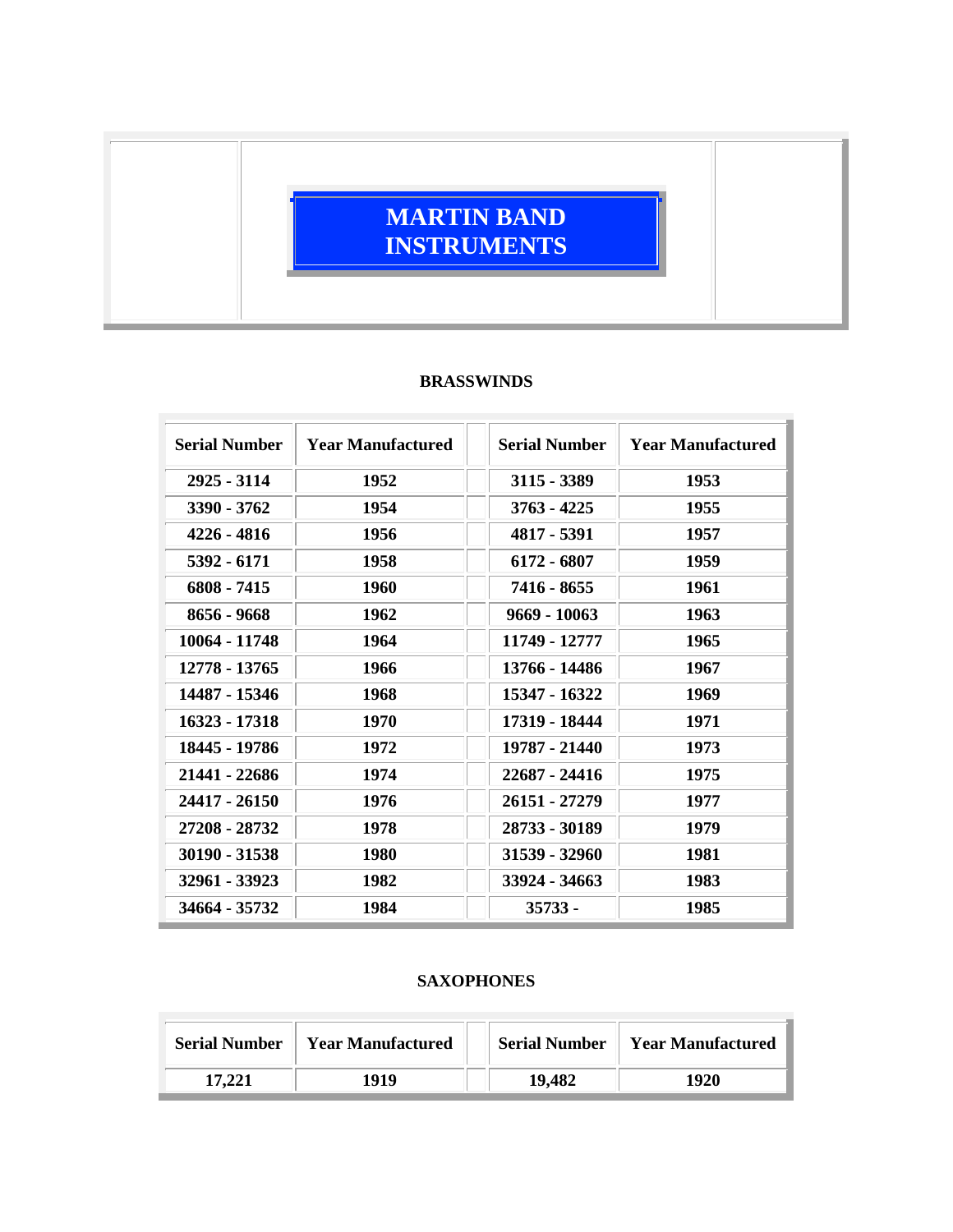## **MARTIN BAND INSTRUMENTS**

## **BRASSWINDS**

| <b>Serial Number</b> | <b>Year Manufactured</b> | <b>Serial Number</b> | <b>Year Manufactured</b> |
|----------------------|--------------------------|----------------------|--------------------------|
| 2925 - 3114          | 1952                     | $3115 - 3389$        | 1953                     |
| 3390 - 3762          | 1954                     | 3763 - 4225          | 1955                     |
| 4226 - 4816          | 1956                     | 4817 - 5391          | 1957                     |
| 5392 - 6171          | 1958                     | 6172 - 6807          | 1959                     |
| 6808 - 7415          | 1960                     | 7416 - 8655          | 1961                     |
| 8656 - 9668          | 1962                     | 9669 - 10063         | 1963                     |
| 10064 - 11748        | 1964                     | 11749 - 12777        | 1965                     |
| 12778 - 13765        | 1966                     | 13766 - 14486        | 1967                     |
| 14487 - 15346        | 1968                     | 15347 - 16322        | 1969                     |
| 16323 - 17318        | 1970                     | 17319 - 18444        | 1971                     |
| 18445 - 19786        | 1972                     | 19787 - 21440        | 1973                     |
| 21441 - 22686        | 1974                     | 22687 - 24416        | 1975                     |
| 24417 - 26150        | 1976                     | 26151 - 27279        | 1977                     |
| 27208 - 28732        | 1978                     | 28733 - 30189        | 1979                     |
| 30190 - 31538        | 1980                     | 31539 - 32960        | 1981                     |
| 32961 - 33923        | 1982                     | 33924 - 34663        | 1983                     |
| 34664 - 35732        | 1984                     | $35733 -$            | 1985                     |

## **SAXOPHONES**

| <b>Serial Number</b> | <b>Year Manufactured</b> | <b>Serial Number</b> | <b>Year Manufactured</b> |
|----------------------|--------------------------|----------------------|--------------------------|
| 17.221               | 1919                     | 19,482               | 1920                     |